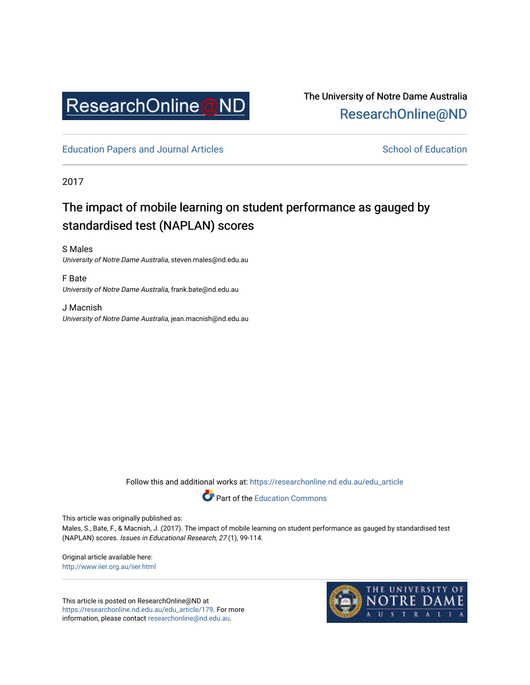

The University of Notre Dame Australia [ResearchOnline@ND](https://researchonline.nd.edu.au/) 

[Education Papers and Journal Articles](https://researchonline.nd.edu.au/edu_article) [School of Education](https://researchonline.nd.edu.au/edu) School of Education

2017

# The impact of mobile learning on student performance as gauged by standardised test (NAPLAN) scores

S Males University of Notre Dame Australia, steven.males@nd.edu.au

F Bate University of Notre Dame Australia, frank.bate@nd.edu.au

J Macnish University of Notre Dame Australia, jean.macnish@nd.edu.au

Follow this and additional works at: [https://researchonline.nd.edu.au/edu\\_article](https://researchonline.nd.edu.au/edu_article?utm_source=researchonline.nd.edu.au%2Fedu_article%2F179&utm_medium=PDF&utm_campaign=PDFCoverPages)



This article was originally published as:

Males, S., Bate, F., & Macnish, J. (2017). The impact of mobile learning on student performance as gauged by standardised test (NAPLAN) scores. Issues in Educational Research, 27 (1), 99-114.

Original article available here: <http://www.iier.org.au/iier.html>

This article is posted on ResearchOnline@ND at [https://researchonline.nd.edu.au/edu\\_article/179](https://researchonline.nd.edu.au/edu_article/179). For more information, please contact [researchonline@nd.edu.au.](mailto:researchonline@nd.edu.au)

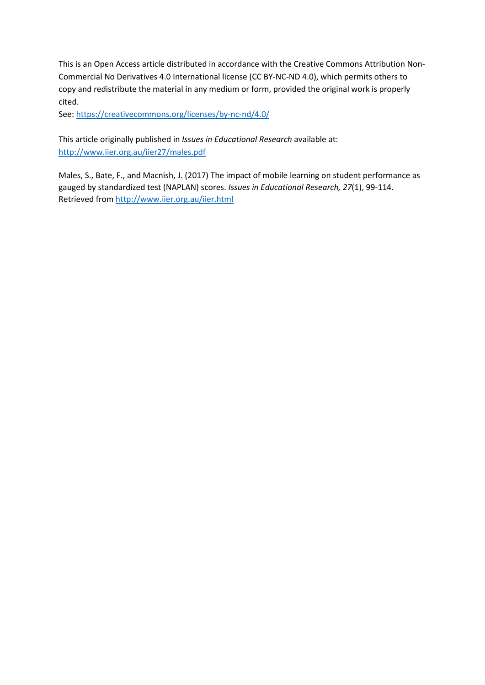This is an Open Access article distributed in accordance with the Creative Commons Attribution Non-Commercial No Derivatives 4.0 International license (CC BY-NC-ND 4.0), which permits others to copy and redistribute the material in any medium or form, provided the original work is properly cited.

See[: https://creativecommons.org/licenses/by-nc-nd/4.0/](https://creativecommons.org/licenses/by-nc-nd/4.0/)

This article originally published in *Issues in Educational Research* available at: <http://www.iier.org.au/iier27/males.pdf>

Males, S., Bate, F., and Macnish, J. (2017) The impact of mobile learning on student performance as gauged by standardized test (NAPLAN) scores. *Issues in Educational Research, 27*(1), 99-114. Retrieved from<http://www.iier.org.au/iier.html>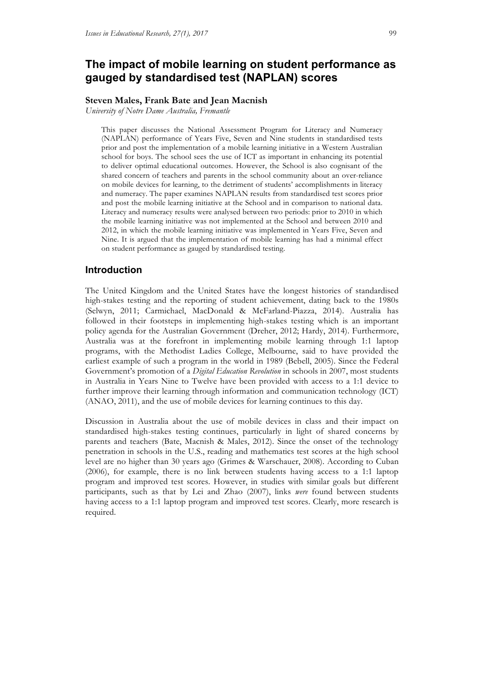### **The impact of mobile learning on student performance as gauged by standardised test (NAPLAN) scores**

#### **Steven Males, Frank Bate and Jean Macnish**

*University of Notre Dame Australia, Fremantle*

This paper discusses the National Assessment Program for Literacy and Numeracy (NAPLAN) performance of Years Five, Seven and Nine students in standardised tests prior and post the implementation of a mobile learning initiative in a Western Australian school for boys. The school sees the use of ICT as important in enhancing its potential to deliver optimal educational outcomes. However, the School is also cognisant of the shared concern of teachers and parents in the school community about an over-reliance on mobile devices for learning, to the detriment of students' accomplishments in literacy and numeracy. The paper examines NAPLAN results from standardised test scores prior and post the mobile learning initiative at the School and in comparison to national data. Literacy and numeracy results were analysed between two periods: prior to 2010 in which the mobile learning initiative was not implemented at the School and between 2010 and 2012, in which the mobile learning initiative was implemented in Years Five, Seven and Nine. It is argued that the implementation of mobile learning has had a minimal effect on student performance as gauged by standardised testing.

#### **Introduction**

The United Kingdom and the United States have the longest histories of standardised high-stakes testing and the reporting of student achievement, dating back to the 1980s (Selwyn, 2011; Carmichael, MacDonald & McFarland-Piazza, 2014). Australia has followed in their footsteps in implementing high-stakes testing which is an important policy agenda for the Australian Government (Dreher, 2012; Hardy, 2014). Furthermore, Australia was at the forefront in implementing mobile learning through 1:1 laptop programs, with the Methodist Ladies College, Melbourne, said to have provided the earliest example of such a program in the world in 1989 (Bebell, 2005). Since the Federal Government's promotion of a *Digital Education Revolution* in schools in 2007, most students in Australia in Years Nine to Twelve have been provided with access to a 1:1 device to further improve their learning through information and communication technology (ICT) (ANAO, 2011), and the use of mobile devices for learning continues to this day.

Discussion in Australia about the use of mobile devices in class and their impact on standardised high-stakes testing continues, particularly in light of shared concerns by parents and teachers (Bate, Macnish & Males, 2012). Since the onset of the technology penetration in schools in the U.S., reading and mathematics test scores at the high school level are no higher than 30 years ago (Grimes & Warschauer, 2008). According to Cuban (2006), for example, there is no link between students having access to a 1:1 laptop program and improved test scores. However, in studies with similar goals but different participants, such as that by Lei and Zhao (2007), links *were* found between students having access to a 1:1 laptop program and improved test scores. Clearly, more research is required.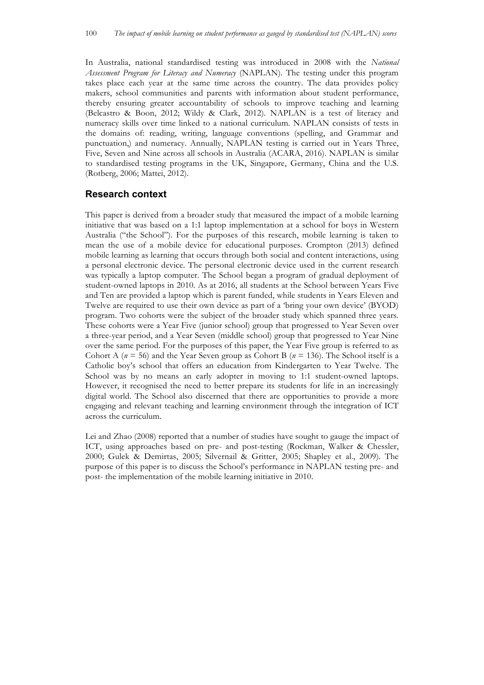In Australia, national standardised testing was introduced in 2008 with the *National Assessment Program for Literacy and Numeracy* (NAPLAN). The testing under this program takes place each year at the same time across the country. The data provides policy makers, school communities and parents with information about student performance, thereby ensuring greater accountability of schools to improve teaching and learning (Belcastro & Boon, 2012; Wildy & Clark, 2012). NAPLAN is a test of literacy and numeracy skills over time linked to a national curriculum. NAPLAN consists of tests in the domains of: reading, writing, language conventions (spelling, and Grammar and punctuation,) and numeracy. Annually, NAPLAN testing is carried out in Years Three, Five, Seven and Nine across all schools in Australia (ACARA, 2016). NAPLAN is similar to standardised testing programs in the UK, Singapore, Germany, China and the U.S. (Rotberg, 2006; Mattei, 2012).

#### **Research context**

This paper is derived from a broader study that measured the impact of a mobile learning initiative that was based on a 1:1 laptop implementation at a school for boys in Western Australia ("the School"). For the purposes of this research, mobile learning is taken to mean the use of a mobile device for educational purposes. Crompton (2013) defined mobile learning as learning that occurs through both social and content interactions, using a personal electronic device. The personal electronic device used in the current research was typically a laptop computer. The School began a program of gradual deployment of student-owned laptops in 2010. As at 2016, all students at the School between Years Five and Ten are provided a laptop which is parent funded, while students in Years Eleven and Twelve are required to use their own device as part of a 'bring your own device' (BYOD) program. Two cohorts were the subject of the broader study which spanned three years. These cohorts were a Year Five (junior school) group that progressed to Year Seven over a three-year period, and a Year Seven (middle school) group that progressed to Year Nine over the same period. For the purposes of this paper, the Year Five group is referred to as Cohort A (*n* = 56) and the Year Seven group as Cohort B (*n* = 136). The School itself is a Catholic boy's school that offers an education from Kindergarten to Year Twelve. The School was by no means an early adopter in moving to 1:1 student-owned laptops. However, it recognised the need to better prepare its students for life in an increasingly digital world. The School also discerned that there are opportunities to provide a more engaging and relevant teaching and learning environment through the integration of ICT across the curriculum.

Lei and Zhao (2008) reported that a number of studies have sought to gauge the impact of ICT, using approaches based on pre- and post-testing (Rockman, Walker & Chessler, 2000; Gulek & Demirtas, 2005; Silvernail & Gritter, 2005; Shapley et al., 2009). The purpose of this paper is to discuss the School's performance in NAPLAN testing pre- and post- the implementation of the mobile learning initiative in 2010.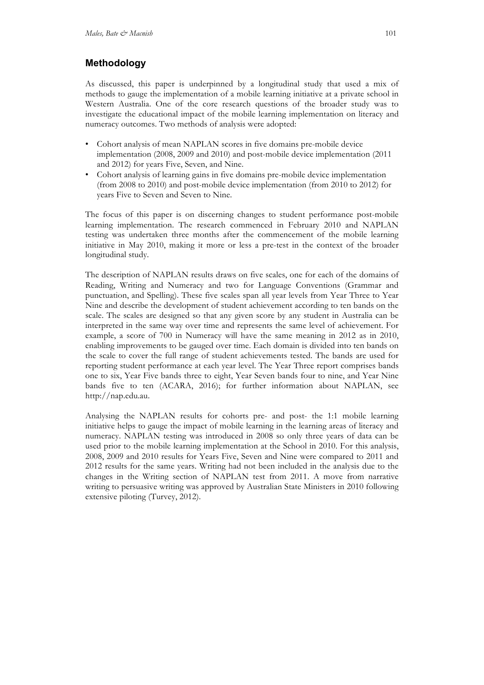# **Methodology**

As discussed, this paper is underpinned by a longitudinal study that used a mix of methods to gauge the implementation of a mobile learning initiative at a private school in Western Australia. One of the core research questions of the broader study was to investigate the educational impact of the mobile learning implementation on literacy and numeracy outcomes. Two methods of analysis were adopted:

- Cohort analysis of mean NAPLAN scores in five domains pre-mobile device implementation (2008, 2009 and 2010) and post-mobile device implementation (2011 and 2012) for years Five, Seven, and Nine.
- Cohort analysis of learning gains in five domains pre-mobile device implementation (from 2008 to 2010) and post-mobile device implementation (from 2010 to 2012) for years Five to Seven and Seven to Nine.

The focus of this paper is on discerning changes to student performance post-mobile learning implementation. The research commenced in February 2010 and NAPLAN testing was undertaken three months after the commencement of the mobile learning initiative in May 2010, making it more or less a pre-test in the context of the broader longitudinal study.

The description of NAPLAN results draws on five scales, one for each of the domains of Reading, Writing and Numeracy and two for Language Conventions (Grammar and punctuation, and Spelling). These five scales span all year levels from Year Three to Year Nine and describe the development of student achievement according to ten bands on the scale. The scales are designed so that any given score by any student in Australia can be interpreted in the same way over time and represents the same level of achievement. For example, a score of 700 in Numeracy will have the same meaning in 2012 as in 2010, enabling improvements to be gauged over time. Each domain is divided into ten bands on the scale to cover the full range of student achievements tested. The bands are used for reporting student performance at each year level. The Year Three report comprises bands one to six, Year Five bands three to eight, Year Seven bands four to nine, and Year Nine bands five to ten (ACARA, 2016); for further information about NAPLAN, see http://nap.edu.au.

Analysing the NAPLAN results for cohorts pre- and post- the 1:1 mobile learning initiative helps to gauge the impact of mobile learning in the learning areas of literacy and numeracy. NAPLAN testing was introduced in 2008 so only three years of data can be used prior to the mobile learning implementation at the School in 2010. For this analysis, 2008, 2009 and 2010 results for Years Five, Seven and Nine were compared to 2011 and 2012 results for the same years. Writing had not been included in the analysis due to the changes in the Writing section of NAPLAN test from 2011. A move from narrative writing to persuasive writing was approved by Australian State Ministers in 2010 following extensive piloting (Turvey, 2012).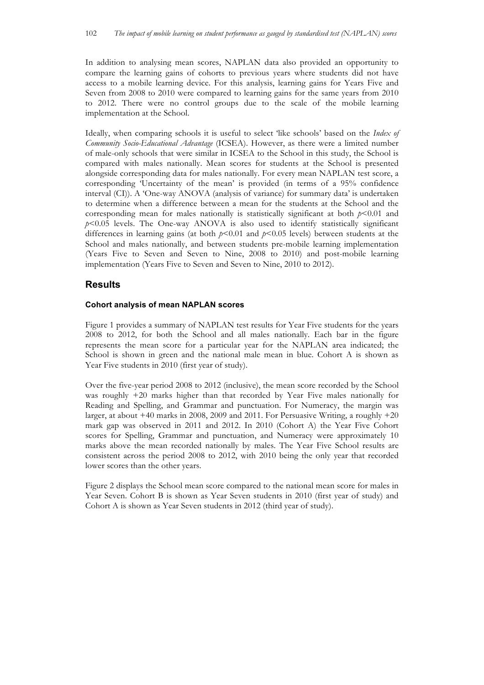In addition to analysing mean scores, NAPLAN data also provided an opportunity to compare the learning gains of cohorts to previous years where students did not have access to a mobile learning device. For this analysis, learning gains for Years Five and Seven from 2008 to 2010 were compared to learning gains for the same years from 2010 to 2012. There were no control groups due to the scale of the mobile learning implementation at the School.

Ideally, when comparing schools it is useful to select 'like schools' based on the *Index of Community Socio-Educational Advantage* (ICSEA). However, as there were a limited number of male-only schools that were similar in ICSEA to the School in this study, the School is compared with males nationally. Mean scores for students at the School is presented alongside corresponding data for males nationally. For every mean NAPLAN test score, a corresponding 'Uncertainty of the mean' is provided (in terms of a 95% confidence interval (CI)). A 'One-way ANOVA (analysis of variance) for summary data' is undertaken to determine when a difference between a mean for the students at the School and the corresponding mean for males nationally is statistically significant at both  $p<0.01$  and  $p$ <0.05 levels. The One-way ANOVA is also used to identify statistically significant differences in learning gains (at both *p*<0.01 and *p*<0.05 levels) between students at the School and males nationally, and between students pre-mobile learning implementation (Years Five to Seven and Seven to Nine, 2008 to 2010) and post-mobile learning implementation (Years Five to Seven and Seven to Nine, 2010 to 2012).

### **Results**

#### **Cohort analysis of mean NAPLAN scores**

Figure 1 provides a summary of NAPLAN test results for Year Five students for the years 2008 to 2012, for both the School and all males nationally. Each bar in the figure represents the mean score for a particular year for the NAPLAN area indicated; the School is shown in green and the national male mean in blue. Cohort A is shown as Year Five students in 2010 (first year of study).

Over the five-year period 2008 to 2012 (inclusive), the mean score recorded by the School was roughly +20 marks higher than that recorded by Year Five males nationally for Reading and Spelling, and Grammar and punctuation. For Numeracy, the margin was larger, at about  $+40$  marks in 2008, 2009 and 2011. For Persuasive Writing, a roughly  $+20$ mark gap was observed in 2011 and 2012. In 2010 (Cohort A) the Year Five Cohort scores for Spelling, Grammar and punctuation, and Numeracy were approximately 10 marks above the mean recorded nationally by males. The Year Five School results are consistent across the period 2008 to 2012, with 2010 being the only year that recorded lower scores than the other years.

Figure 2 displays the School mean score compared to the national mean score for males in Year Seven. Cohort B is shown as Year Seven students in 2010 (first year of study) and Cohort A is shown as Year Seven students in 2012 (third year of study).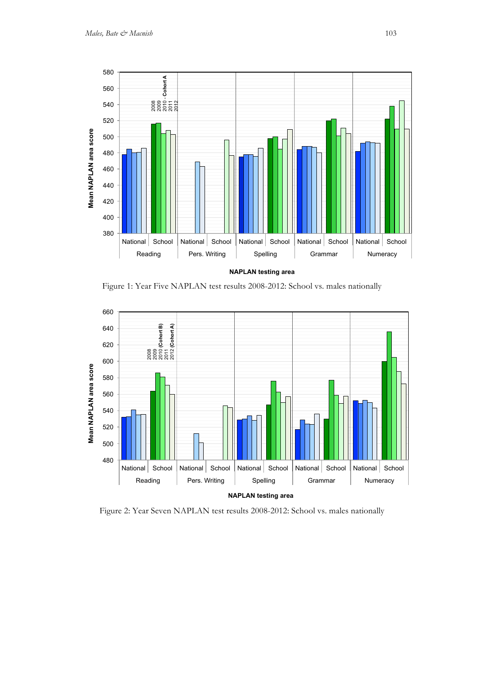

Figure 1: Year Five NAPLAN test results 2008-2012: School vs. males nationally



Figure 2: Year Seven NAPLAN test results 2008-2012: School vs. males nationally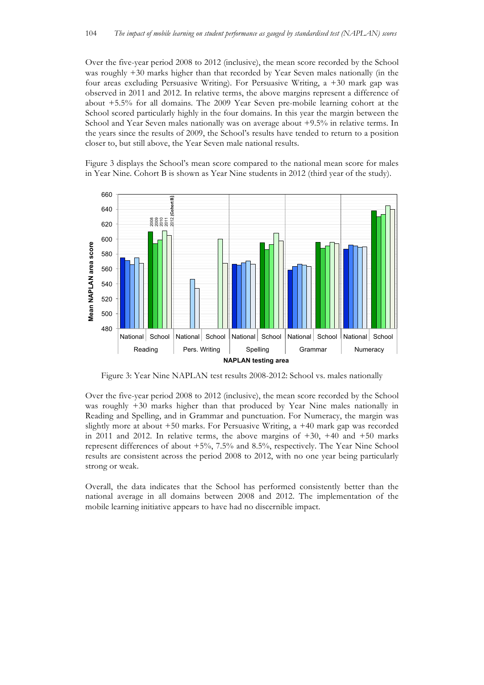Over the five-year period 2008 to 2012 (inclusive), the mean score recorded by the School was roughly +30 marks higher than that recorded by Year Seven males nationally (in the four areas excluding Persuasive Writing). For Persuasive Writing, a +30 mark gap was observed in 2011 and 2012. In relative terms, the above margins represent a difference of about +5.5% for all domains. The 2009 Year Seven pre-mobile learning cohort at the School scored particularly highly in the four domains. In this year the margin between the School and Year Seven males nationally was on average about +9.5% in relative terms. In the years since the results of 2009, the School's results have tended to return to a position closer to, but still above, the Year Seven male national results.

Figure 3 displays the School's mean score compared to the national mean score for males in Year Nine. Cohort B is shown as Year Nine students in 2012 (third year of the study).



Figure 3: Year Nine NAPLAN test results 2008-2012: School vs. males nationally

Over the five-year period 2008 to 2012 (inclusive), the mean score recorded by the School was roughly +30 marks higher than that produced by Year Nine males nationally in Reading and Spelling, and in Grammar and punctuation. For Numeracy, the margin was slightly more at about +50 marks. For Persuasive Writing, a +40 mark gap was recorded in 2011 and 2012. In relative terms, the above margins of  $+30$ ,  $+40$  and  $+50$  marks represent differences of about +5%, 7.5% and 8.5%, respectively. The Year Nine School results are consistent across the period 2008 to 2012, with no one year being particularly strong or weak.

Overall, the data indicates that the School has performed consistently better than the national average in all domains between 2008 and 2012. The implementation of the mobile learning initiative appears to have had no discernible impact.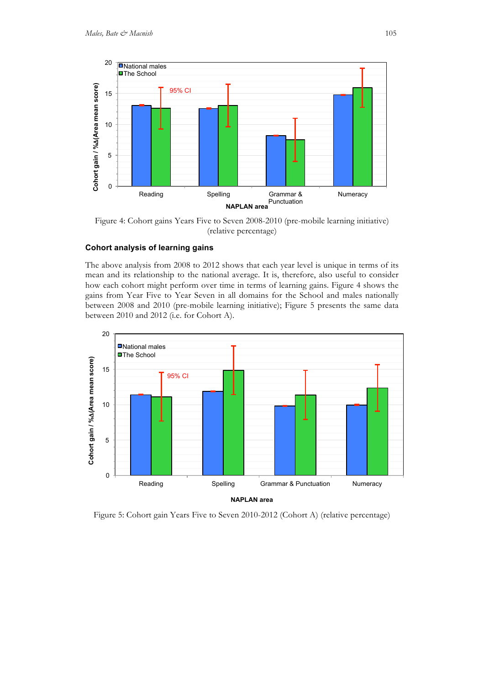

Figure 4: Cohort gains Years Five to Seven 2008-2010 (pre-mobile learning initiative) (relative percentage)

#### **Cohort analysis of learning gains**

The above analysis from 2008 to 2012 shows that each year level is unique in terms of its mean and its relationship to the national average. It is, therefore, also useful to consider how each cohort might perform over time in terms of learning gains. Figure 4 shows the gains from Year Five to Year Seven in all domains for the School and males nationally between 2008 and 2010 (pre-mobile learning initiative); Figure 5 presents the same data between 2010 and 2012 (i.e. for Cohort A).



Figure 5: Cohort gain Years Five to Seven 2010-2012 (Cohort A) (relative percentage)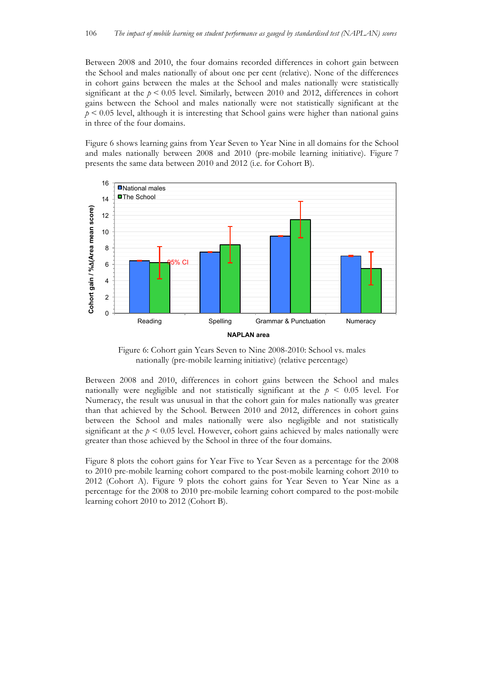Between 2008 and 2010, the four domains recorded differences in cohort gain between the School and males nationally of about one per cent (relative). None of the differences in cohort gains between the males at the School and males nationally were statistically significant at the  $p < 0.05$  level. Similarly, between 2010 and 2012, differences in cohort gains between the School and males nationally were not statistically significant at the  $p \leq 0.05$  level, although it is interesting that School gains were higher than national gains in three of the four domains.

Figure 6 shows learning gains from Year Seven to Year Nine in all domains for the School and males nationally between 2008 and 2010 (pre-mobile learning initiative). Figure 7 presents the same data between 2010 and 2012 (i.e. for Cohort B).



Figure 6: Cohort gain Years Seven to Nine 2008-2010: School vs. males nationally (pre-mobile learning initiative) (relative percentage)

Between 2008 and 2010, differences in cohort gains between the School and males nationally were negligible and not statistically significant at the  $p \leq 0.05$  level. For Numeracy, the result was unusual in that the cohort gain for males nationally was greater than that achieved by the School. Between 2010 and 2012, differences in cohort gains between the School and males nationally were also negligible and not statistically significant at the  $p < 0.05$  level. However, cohort gains achieved by males nationally were greater than those achieved by the School in three of the four domains.

Figure 8 plots the cohort gains for Year Five to Year Seven as a percentage for the 2008 to 2010 pre-mobile learning cohort compared to the post-mobile learning cohort 2010 to 2012 (Cohort A). Figure 9 plots the cohort gains for Year Seven to Year Nine as a percentage for the 2008 to 2010 pre-mobile learning cohort compared to the post-mobile learning cohort 2010 to 2012 (Cohort B).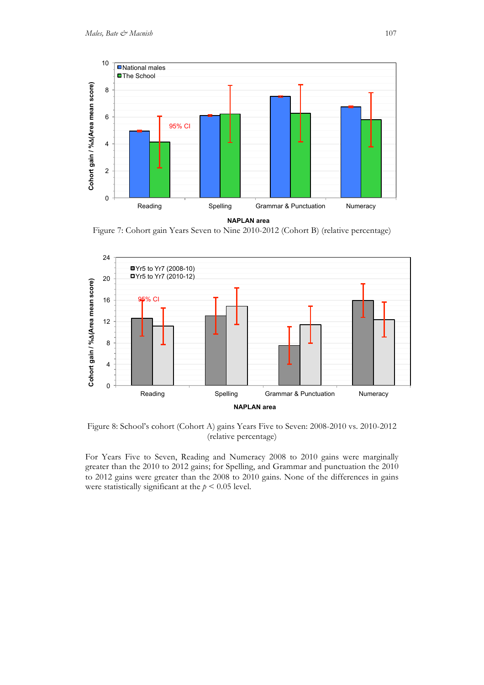

**NAPLAN area** 

Figure 7: Cohort gain Years Seven to Nine 2010-2012 (Cohort B) (relative percentage)



Figure 8: School's cohort (Cohort A) gains Years Five to Seven: 2008-2010 vs. 2010-2012 (relative percentage)

For Years Five to Seven, Reading and Numeracy 2008 to 2010 gains were marginally greater than the 2010 to 2012 gains; for Spelling, and Grammar and punctuation the 2010 to 2012 gains were greater than the 2008 to 2010 gains. None of the differences in gains were statistically significant at the  $p < 0.05$  level.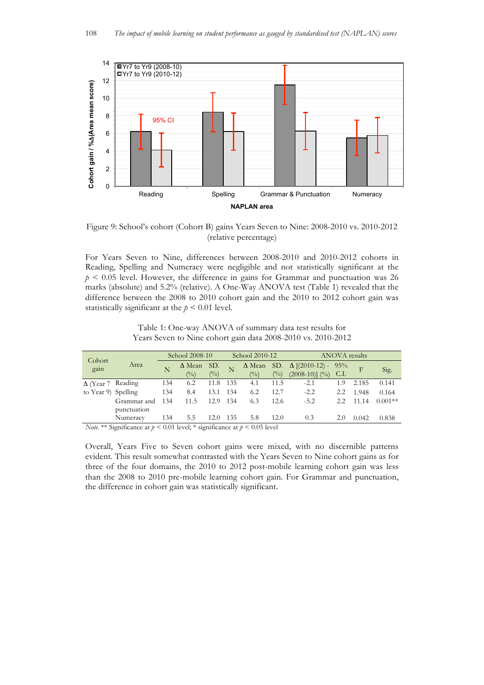

Figure 9: School's cohort (Cohort B) gains Years Seven to Nine: 2008-2010 vs. 2010-2012 (relative percentage)

For Years Seven to Nine, differences between 2008-2010 and 2010-2012 cohorts in Reading, Spelling and Numeracy were negligible and not statistically significant at the  $p < 0.05$  level. However, the difference in gains for Grammar and punctuation was 26 marks (absolute) and 5.2% (relative). A One-Way ANOVA test (Table 1) revealed that the difference between the 2008 to 2010 cohort gain and the 2010 to 2012 cohort gain was statistically significant at the  $p < 0.01$  level.

| Table 1: One-way ANOVA of summary data test results for      |  |  |
|--------------------------------------------------------------|--|--|
| Years Seven to Nine cohort gain data 2008-2010 vs. 2010-2012 |  |  |

| Cohort<br>gain           |                            | School 2008-10 |                                     | School 2010-12 |     | <b>ANOVA</b> results |       |                                                                                |     |       |           |
|--------------------------|----------------------------|----------------|-------------------------------------|----------------|-----|----------------------|-------|--------------------------------------------------------------------------------|-----|-------|-----------|
|                          | Area                       |                | $\Delta$ Mean<br>$( ^{0}\!/_{\!0})$ | SD.<br>(0/0)   |     | $\binom{0}{0}$       | (0/0) | $\triangle$ Mean SD. $\triangle$ [(2010-12) - 95%<br>$(2008-10)$ ] $(%$ ) C.I. |     | F     | Sig.      |
| $\Delta$ (Year 7 Reading |                            | 134            | 6.2                                 | 11.8           | 135 | 4.1                  | 11.5  | $-2.1$                                                                         | 1.9 | 2.185 | 0.141     |
| to Year 9) Spelling      |                            | 134            | 8.4                                 | 13.1           | 134 | 6.2                  | 12.7  | $-2.2$                                                                         | 2.2 | 1.948 | 0.164     |
|                          | Grammar and<br>punctuation | 134            | 11.5                                | 12.9           | 134 | 6.3                  | 12.6  | $-5.2$                                                                         | 2.2 | 11.14 | $0.001**$ |
|                          | Numeracy                   | 134            | 5.5                                 | 12.0           | 135 | 5.8                  | 12.0  | 0.3                                                                            | 2.0 | 0.042 | 0.838     |

*Note.* \*\* Significance at *p* < 0.01 level; \* significance at *p* < 0.05 level

Overall, Years Five to Seven cohort gains were mixed, with no discernible patterns evident. This result somewhat contrasted with the Years Seven to Nine cohort gains as for three of the four domains, the 2010 to 2012 post-mobile learning cohort gain was less than the 2008 to 2010 pre-mobile learning cohort gain. For Grammar and punctuation, the difference in cohort gain was statistically significant.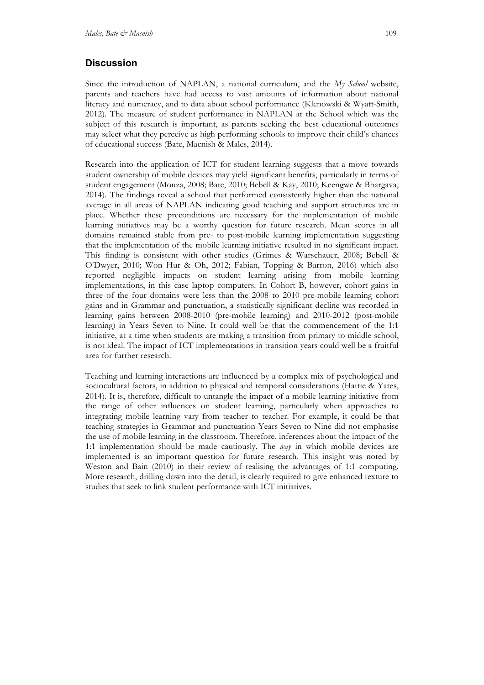### **Discussion**

Since the introduction of NAPLAN, a national curriculum, and the *My School* website, parents and teachers have had access to vast amounts of information about national literacy and numeracy, and to data about school performance (Klenowski & Wyatt-Smith, 2012). The measure of student performance in NAPLAN at the School which was the subject of this research is important, as parents seeking the best educational outcomes may select what they perceive as high performing schools to improve their child's chances of educational success (Bate, Macnish & Males, 2014).

Research into the application of ICT for student learning suggests that a move towards student ownership of mobile devices may yield significant benefits, particularly in terms of student engagement (Mouza, 2008; Bate, 2010; Bebell & Kay, 2010; Keengwe & Bhargava, 2014). The findings reveal a school that performed consistently higher than the national average in all areas of NAPLAN indicating good teaching and support structures are in place. Whether these preconditions are necessary for the implementation of mobile learning initiatives may be a worthy question for future research. Mean scores in all domains remained stable from pre- to post-mobile learning implementation suggesting that the implementation of the mobile learning initiative resulted in no significant impact. This finding is consistent with other studies (Grimes & Warschauer, 2008; Bebell & O'Dwyer, 2010; Won Hur & Oh, 2012; Fabian, Topping & Barron, 2016) which also reported negligible impacts on student learning arising from mobile learning implementations, in this case laptop computers. In Cohort B, however, cohort gains in three of the four domains were less than the 2008 to 2010 pre-mobile learning cohort gains and in Grammar and punctuation, a statistically significant decline was recorded in learning gains between 2008-2010 (pre-mobile learning) and 2010-2012 (post-mobile learning) in Years Seven to Nine. It could well be that the commencement of the 1:1 initiative, at a time when students are making a transition from primary to middle school, is not ideal. The impact of ICT implementations in transition years could well be a fruitful area for further research.

Teaching and learning interactions are influenced by a complex mix of psychological and sociocultural factors, in addition to physical and temporal considerations (Hattie & Yates, 2014). It is, therefore, difficult to untangle the impact of a mobile learning initiative from the range of other influences on student learning, particularly when approaches to integrating mobile learning vary from teacher to teacher. For example, it could be that teaching strategies in Grammar and punctuation Years Seven to Nine did not emphasise the use of mobile learning in the classroom. Therefore, inferences about the impact of the 1:1 implementation should be made cautiously. The *way* in which mobile devices are implemented is an important question for future research. This insight was noted by Weston and Bain (2010) in their review of realising the advantages of 1:1 computing. More research, drilling down into the detail, is clearly required to give enhanced texture to studies that seek to link student performance with ICT initiatives.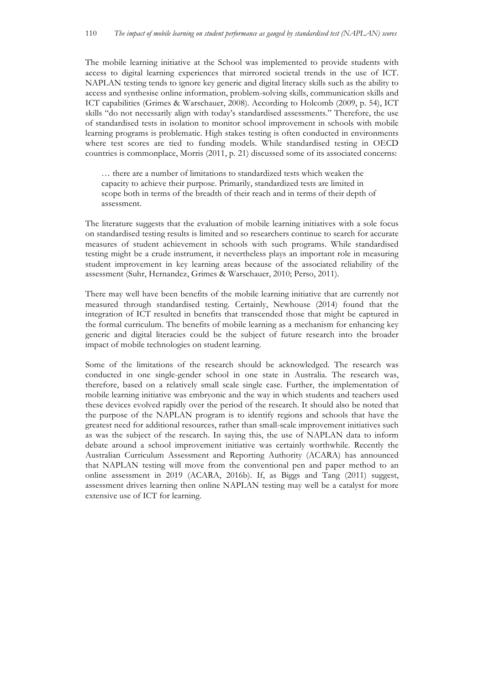The mobile learning initiative at the School was implemented to provide students with access to digital learning experiences that mirrored societal trends in the use of ICT. NAPLAN testing tends to ignore key generic and digital literacy skills such as the ability to access and synthesise online information, problem-solving skills, communication skills and ICT capabilities (Grimes & Warschauer, 2008). According to Holcomb (2009, p. 54), ICT skills "do not necessarily align with today's standardised assessments." Therefore, the use of standardised tests in isolation to monitor school improvement in schools with mobile learning programs is problematic. High stakes testing is often conducted in environments where test scores are tied to funding models. While standardised testing in OECD countries is commonplace, Morris (2011, p. 21) discussed some of its associated concerns:

… there are a number of limitations to standardized tests which weaken the capacity to achieve their purpose. Primarily, standardized tests are limited in scope both in terms of the breadth of their reach and in terms of their depth of assessment.

The literature suggests that the evaluation of mobile learning initiatives with a sole focus on standardised testing results is limited and so researchers continue to search for accurate measures of student achievement in schools with such programs. While standardised testing might be a crude instrument, it nevertheless plays an important role in measuring student improvement in key learning areas because of the associated reliability of the assessment (Suhr, Hernandez, Grimes & Warschauer, 2010; Perso, 2011).

There may well have been benefits of the mobile learning initiative that are currently not measured through standardised testing. Certainly, Newhouse (2014) found that the integration of ICT resulted in benefits that transcended those that might be captured in the formal curriculum. The benefits of mobile learning as a mechanism for enhancing key generic and digital literacies could be the subject of future research into the broader impact of mobile technologies on student learning.

Some of the limitations of the research should be acknowledged. The research was conducted in one single-gender school in one state in Australia. The research was, therefore, based on a relatively small scale single case. Further, the implementation of mobile learning initiative was embryonic and the way in which students and teachers used these devices evolved rapidly over the period of the research. It should also be noted that the purpose of the NAPLAN program is to identify regions and schools that have the greatest need for additional resources, rather than small-scale improvement initiatives such as was the subject of the research. In saying this, the use of NAPLAN data to inform debate around a school improvement initiative was certainly worthwhile. Recently the Australian Curriculum Assessment and Reporting Authority (ACARA) has announced that NAPLAN testing will move from the conventional pen and paper method to an online assessment in 2019 (ACARA, 2016b). If, as Biggs and Tang (2011) suggest, assessment drives learning then online NAPLAN testing may well be a catalyst for more extensive use of ICT for learning.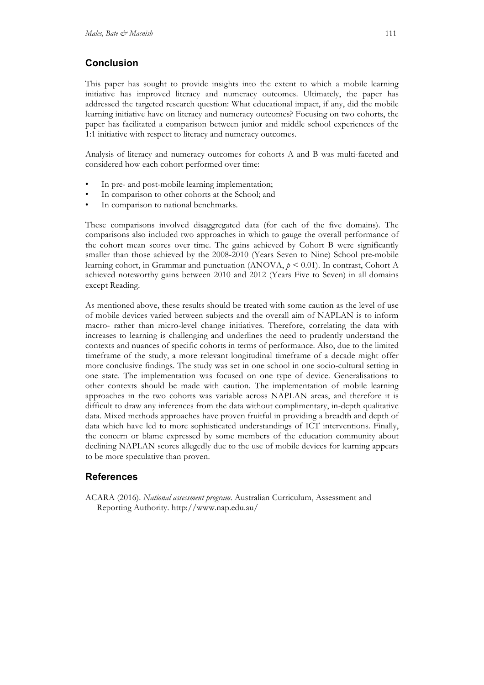## **Conclusion**

This paper has sought to provide insights into the extent to which a mobile learning initiative has improved literacy and numeracy outcomes. Ultimately, the paper has addressed the targeted research question: What educational impact, if any, did the mobile learning initiative have on literacy and numeracy outcomes? Focusing on two cohorts, the paper has facilitated a comparison between junior and middle school experiences of the 1:1 initiative with respect to literacy and numeracy outcomes.

Analysis of literacy and numeracy outcomes for cohorts A and B was multi-faceted and considered how each cohort performed over time:

- In pre- and post-mobile learning implementation;
- In comparison to other cohorts at the School; and
- In comparison to national benchmarks.

These comparisons involved disaggregated data (for each of the five domains). The comparisons also included two approaches in which to gauge the overall performance of the cohort mean scores over time. The gains achieved by Cohort B were significantly smaller than those achieved by the 2008-2010 (Years Seven to Nine) School pre-mobile learning cohort, in Grammar and punctuation (ANOVA,  $p \le 0.01$ ). In contrast, Cohort A achieved noteworthy gains between 2010 and 2012 (Years Five to Seven) in all domains except Reading.

As mentioned above, these results should be treated with some caution as the level of use of mobile devices varied between subjects and the overall aim of NAPLAN is to inform macro- rather than micro-level change initiatives. Therefore, correlating the data with increases to learning is challenging and underlines the need to prudently understand the contexts and nuances of specific cohorts in terms of performance. Also, due to the limited timeframe of the study, a more relevant longitudinal timeframe of a decade might offer more conclusive findings. The study was set in one school in one socio-cultural setting in one state. The implementation was focused on one type of device. Generalisations to other contexts should be made with caution. The implementation of mobile learning approaches in the two cohorts was variable across NAPLAN areas, and therefore it is difficult to draw any inferences from the data without complimentary, in-depth qualitative data. Mixed methods approaches have proven fruitful in providing a breadth and depth of data which have led to more sophisticated understandings of ICT interventions. Finally, the concern or blame expressed by some members of the education community about declining NAPLAN scores allegedly due to the use of mobile devices for learning appears to be more speculative than proven.

### **References**

ACARA (2016). *National assessment program*. Australian Curriculum, Assessment and Reporting Authority. http://www.nap.edu.au/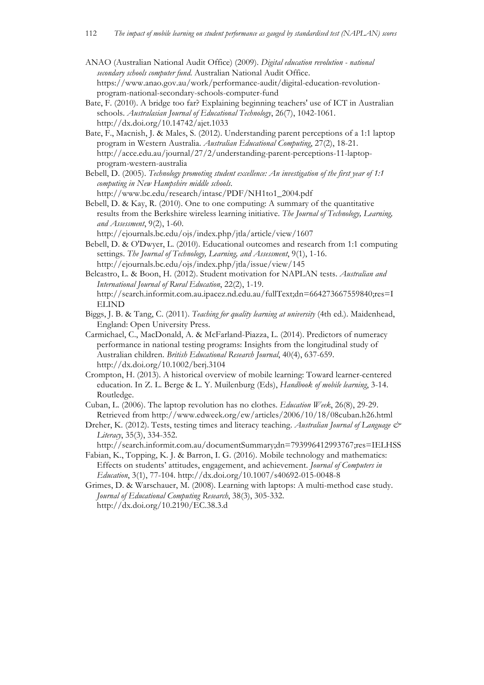- ANAO (Australian National Audit Office) (2009). *Digital education revolution - national secondary schools computer fund*. Australian National Audit Office. https://www.anao.gov.au/work/performance-audit/digital-education-revolutionprogram-national-secondary-schools-computer-fund
- Bate, F. (2010). A bridge too far? Explaining beginning teachers' use of ICT in Australian schools. *Australasian Journal of Educational Technology*, 26(7), 1042-1061. http://dx.doi.org/10.14742/ajet.1033
- Bate, F., Macnish, J. & Males, S. (2012). Understanding parent perceptions of a 1:1 laptop program in Western Australia. *Australian Educational Computing*, 27(2), 18-21. http://acce.edu.au/journal/27/2/understanding-parent-perceptions-11-laptopprogram-western-australia
- Bebell, D. (2005). *Technology promoting student excellence: An investigation of the first year of 1:1 computing in New Hampshire middle schools*. http://www.bc.edu/research/intasc/PDF/NH1to1\_2004.pdf
- Bebell, D. & Kay, R. (2010). One to one computing: A summary of the quantitative results from the Berkshire wireless learning initiative. *The Journal of Technology, Learning, and Assessment*, 9(2), 1-60.

http://ejournals.bc.edu/ojs/index.php/jtla/article/view/1607

- Bebell, D. & O'Dwyer, L. (2010). Educational outcomes and research from 1:1 computing settings. *The Journal of Technology, Learning, and Assessment*, 9(1), 1-16. http://ejournals.bc.edu/ojs/index.php/jtla/issue/view/145
- Belcastro, L. & Boon, H. (2012). Student motivation for NAPLAN tests. *Australian and International Journal of Rural Education*, 22(2), 1-19. http://search.informit.com.au.ipacez.nd.edu.au/fullText;dn=664273667559840;res=I ELIND
- Biggs, J. B. & Tang, C. (2011). *Teaching for quality learning at university* (4th ed.). Maidenhead, England: Open University Press.
- Carmichael, C., MacDonald, A. & McFarland-Piazza, L. (2014). Predictors of numeracy performance in national testing programs: Insights from the longitudinal study of Australian children. *British Educational Research Journal*, 40(4), 637-659. http://dx.doi.org/10.1002/berj.3104
- Crompton, H. (2013). A historical overview of mobile learning: Toward learner-centered education. In Z. L. Berge & L. Y. Muilenburg (Eds), *Handbook of mobile learning*, 3-14. Routledge.
- Cuban, L. (2006). The laptop revolution has no clothes. *Education Week*, 26(8), 29-29. Retrieved from http://www.edweek.org/ew/articles/2006/10/18/08cuban.h26.html
- Dreher, K. (2012). Tests, testing times and literacy teaching. *Australian Journal of Language & Literacy*, 35(3), 334-352.

http://search.informit.com.au/documentSummary;dn=793996412993767;res=IELHSS

- Fabian, K., Topping, K. J. & Barron, I. G. (2016). Mobile technology and mathematics: Effects on students' attitudes, engagement, and achievement. *Journal of Computers in Education*, 3(1), 77-104. http://dx.doi.org/10.1007/s40692-015-0048-8
- Grimes, D. & Warschauer, M. (2008). Learning with laptops: A multi-method case study. *Journal of Educational Computing Research*, 38(3), 305-332. http://dx.doi.org/10.2190/EC.38.3.d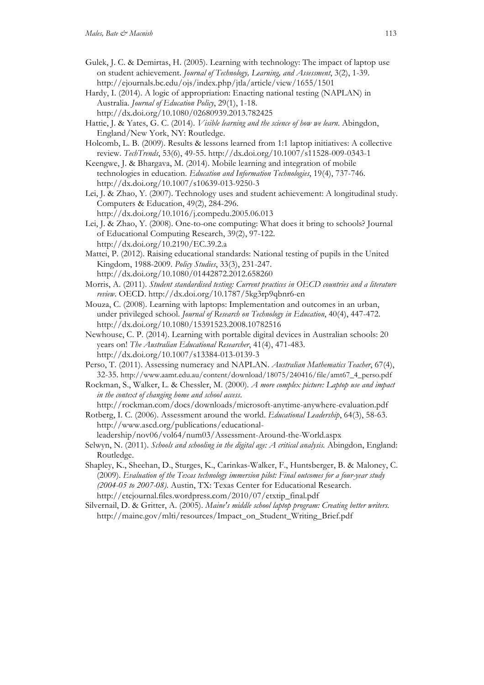- Gulek, J. C. & Demirtas, H. (2005). Learning with technology: The impact of laptop use on student achievement. *Journal of Technology, Learning, and Assessment*, 3(2), 1-39. http://ejournals.bc.edu/ojs/index.php/jtla/article/view/1655/1501
- Hardy, I. (2014). A logic of appropriation: Enacting national testing (NAPLAN) in Australia. *Journal of Education Policy*, 29(1), 1-18. http://dx.doi.org/10.1080/02680939.2013.782425
- Hattie, J. & Yates, G. C. (2014). *Visible learning and the science of how we learn*. Abingdon, England/New York, NY: Routledge.
- Holcomb, L. B. (2009). Results & lessons learned from 1:1 laptop initiatives: A collective review. *TechTrends*, 53(6), 49-55. http://dx.doi.org/10.1007/s11528-009-0343-1

Keengwe, J. & Bhargava, M. (2014). Mobile learning and integration of mobile technologies in education. *Education and Information Technologies*, 19(4), 737-746. http://dx.doi.org/10.1007/s10639-013-9250-3

Lei, J. & Zhao, Y. (2007). Technology uses and student achievement: A longitudinal study. Computers & Education, 49(2), 284-296. http://dx.doi.org/10.1016/j.compedu.2005.06.013

- Lei, J. & Zhao, Y. (2008). One-to-one computing: What does it bring to schools? Journal of Educational Computing Research, 39(2), 97-122. http://dx.doi.org/10.2190/EC.39.2.a
- Mattei, P. (2012). Raising educational standards: National testing of pupils in the United Kingdom, 1988-2009. *Policy Studies*, 33(3), 231-247. http://dx.doi.org/10.1080/01442872.2012.658260
- Morris, A. (2011). *Student standardised testing: Current practices in OECD countries and a literature review*. OECD. http://dx.doi.org/10.1787/5kg3rp9qbnr6-en
- Mouza, C. (2008). Learning with laptops: Implementation and outcomes in an urban, under privileged school. *Journal of Research on Technology in Education*, 40(4), 447-472. http://dx.doi.org/10.1080/15391523.2008.10782516
- Newhouse, C. P. (2014). Learning with portable digital devices in Australian schools: 20 years on! *The Australian Educational Researcher*, 41(4), 471-483. http://dx.doi.org/10.1007/s13384-013-0139-3
- Perso, T. (2011). Assessing numeracy and NAPLAN. *Australian Mathematics Teacher*, 67(4), 32-35. http://www.aamt.edu.au/content/download/18075/240416/file/amt67\_4\_perso.pdf
- Rockman, S., Walker, L. & Chessler, M. (2000). *A more complex picture: Laptop use and impact in the context of changing home and school access*.

http://rockman.com/docs/downloads/microsoft-anytime-anywhere-evaluation.pdf

Rotberg, I. C. (2006). Assessment around the world. *Educational Leadership*, 64(3), 58-63. http://www.ascd.org/publications/educational-

leadership/nov06/vol64/num03/Assessment-Around-the-World.aspx

- Selwyn, N. (2011). *Schools and schooling in the digital age: A critical analysis.* Abingdon, England: Routledge.
- Shapley, K., Sheehan, D., Sturges, K., Carinkas-Walker, F., Huntsberger, B. & Maloney, C. (2009). *Evaluation of the Texas technology immersion pilot: Final outcomes for a four-year study (2004-05 to 2007-08)*. Austin, TX: Texas Center for Educational Research. http://etcjournal.files.wordpress.com/2010/07/etxtip\_final.pdf
- Silvernail, D. & Gritter, A. (2005). *Maine's middle school laptop program: Creating better writers.* http://maine.gov/mlti/resources/Impact\_on\_Student\_Writing\_Brief.pdf